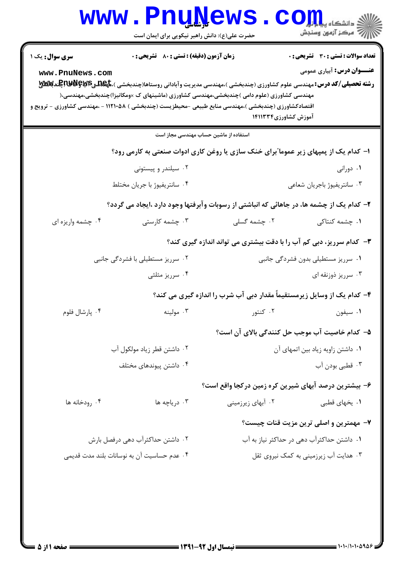|                        | www.PnuNews                                                                                                                                                                                                                                                                                                                                        |                                                                                                                    | الاد دانشڪاء پيدا <mark>ہوا ۔</mark><br>الاقتصاد اللہ کی وسنجش |
|------------------------|----------------------------------------------------------------------------------------------------------------------------------------------------------------------------------------------------------------------------------------------------------------------------------------------------------------------------------------------------|--------------------------------------------------------------------------------------------------------------------|----------------------------------------------------------------|
|                        | حضرت علی(ع): دانش راهبر نیکویی برای ایمان است                                                                                                                                                                                                                                                                                                      |                                                                                                                    |                                                                |
| <b>سری سوال :</b> یک ۱ | <b>زمان آزمون (دقیقه) : تستی : 80 ٪ تشریحی : 0</b>                                                                                                                                                                                                                                                                                                 |                                                                                                                    | <b>تعداد سوالات : تستی : 30 ٪ تشریحی : 0</b>                   |
| www.PnuNews.com        | <b>رشته تحصیلی/کد درس: م</b> هندسی علوم کشاورزی (چندبخشی )،مهندسی مدیریت وآبادانی روستاها(چندبخشی )، <b>تاپیاتیقاتیچاپاتیاتی پیلاتی پیلاتی</b><br>مهندسی کشاورزی (علوم دامی )چندبخشی،مهندسی کشاورزی (ماشینهای ک ×ومکانیزا)چندبخشی،مهندسی،(<br>اقتصادکشاورزی (چندبخشی )،مهندسی منابع طبیعی -محیطزیست (چندبخشی ) ۱۱۲۱۰۵۸ - ،مهندسی کشاورزی - ترویج و | آموزش کشاورزی۱۴۱۱۳۳۴                                                                                               | <b>عنـــوان درس:</b> آبیاری عمومی                              |
|                        | استفاده از ماشین حساب مهندسی مجاز است                                                                                                                                                                                                                                                                                                              |                                                                                                                    |                                                                |
|                        | ۱– کدام یک از پمپهای زیر عموما ؒبرای خنک سازی یا روغن کاری ادوات صنعتی به کارمی رود؟                                                                                                                                                                                                                                                               |                                                                                                                    |                                                                |
|                        | ۰۲ سیلندر و پیستونی                                                                                                                                                                                                                                                                                                                                |                                                                                                                    | ۰۱ دورانی                                                      |
|                        | ۰۴ سانتريفيوژ با جريان مختلط                                                                                                                                                                                                                                                                                                                       |                                                                                                                    | ۰۳ سانتریفیوژ باجریان شعاعی                                    |
|                        | ۲- کدام یک از چشمه ها، در جاهائی که انباشتی از رسوبات وآبرفتها وجود دارد ،ایجاد می گردد؟                                                                                                                                                                                                                                                           |                                                                                                                    |                                                                |
| ۰۴ چشمه واریزه ای      | ۰۳ چشمه کارستی                                                                                                                                                                                                                                                                                                                                     | ۰۲ چشمه گسلی                                                                                                       | ۰۱ چشمه کنتاکی                                                 |
|                        |                                                                                                                                                                                                                                                                                                                                                    | ۳- کدام سرریز، دبی کم آب را با دقت بیشتری می تواند اندازه گیری کند؟                                                |                                                                |
|                        | ۰۲ سرریز مستطیلی با فشردگی جانبی                                                                                                                                                                                                                                                                                                                   |                                                                                                                    | ۰۱ سرریز مستطیلی بدون فشردگی جانبی                             |
|                        | ۰۴ سرريز مثلثي                                                                                                                                                                                                                                                                                                                                     |                                                                                                                    | ۰۳ سرریز ذوزنقه ای                                             |
|                        |                                                                                                                                                                                                                                                                                                                                                    | ۴- کدام یک از وسایل زیرمستقیماً مقدار دبی آب شرب را اندازه گیری می کند؟                                            |                                                                |
| ۰۴ پارشال فلوم         |                                                                                                                                                                                                                                                                                                                                                    | ١. سيفون مستقال المسيقون المستقرر المسيفون المسيفون المستقبل المستقبل المستقبل المستقبل المستقبل المستقبل المستقبل |                                                                |
|                        |                                                                                                                                                                                                                                                                                                                                                    |                                                                                                                    | ۵– کدام خاصیت آب موجب حل کنندگی بالای آن است؟                  |
|                        | ۰۲ داشتن قطر زياد مولكول آب                                                                                                                                                                                                                                                                                                                        |                                                                                                                    | ٠١ داشتن زاويه زياد بين اتمهاى آن                              |
|                        | ۰۴ داشتن پیوندهای مختلف                                                                                                                                                                                                                                                                                                                            |                                                                                                                    | ۰۳ قطبی بودن آب                                                |
|                        |                                                                                                                                                                                                                                                                                                                                                    | ۶– بیشترین درصد آبهای شیرین کره زمین درکجا واقع است؟                                                               |                                                                |
| ۰۴ رودخانه ها          | ۰۳ دریاچه ها                                                                                                                                                                                                                                                                                                                                       | ۰۲ آبهای زیرزمینی                                                                                                  | ۰۱ يخهای قطبی                                                  |
|                        |                                                                                                                                                                                                                                                                                                                                                    |                                                                                                                    | ۷- مهمترین و اصلی ترین مزیت قنات چیست؟                         |
|                        | ۰۲ داشتن حداکثرآب دهی درفصل بارش                                                                                                                                                                                                                                                                                                                   |                                                                                                                    | ۰۱ داشتن حداکثرآب دهی در حداکثر نیاز به آب                     |
|                        | ۰۴ عدم حساسیت آن به نوسانات بلند مدت قدیمی                                                                                                                                                                                                                                                                                                         |                                                                                                                    | ۰۳ هدایت آب زیرزمینی به کمک نیروی ثقل                          |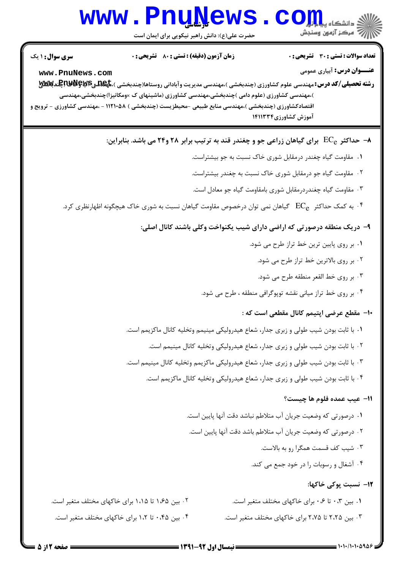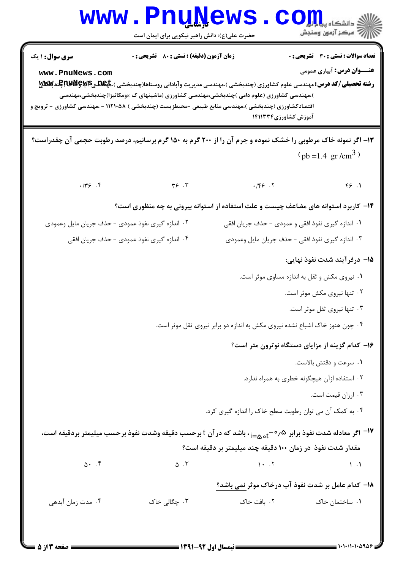|                                                                                                              | <b>WWW.FNUWEWS</b><br>حضرت علی(ع): دانش راهبر نیکویی برای ایمان است |                                                                                                                                                | دانشکاه پ <b>یا با بار</b><br>رُ⁄ مرڪز آزمون وسنڊش |
|--------------------------------------------------------------------------------------------------------------|---------------------------------------------------------------------|------------------------------------------------------------------------------------------------------------------------------------------------|----------------------------------------------------|
| سری سوال: ۱ یک                                                                                               | زمان آزمون (دقیقه) : تستی : 80 ٪ تشریحی : 0                         |                                                                                                                                                | <b>تعداد سوالات : تستی : 30 ٪ تشریحی : 0</b>       |
| www.PnuNews.com                                                                                              |                                                                     |                                                                                                                                                | <b>عنـــوان درس:</b> آبیاری عمومی                  |
|                                                                                                              |                                                                     | )،مهندسی کشاورزی (علوم دامی )چندبخشی،مهندسی کشاورزی (ماشینهای ک ×ومکانیزا)چندبخشی،مهندسی                                                       |                                                    |
| اقتصادکشاورزی (چندبخشی )،مهندسی منابع طبیعی -محیطزیست (چندبخشی ) ۱۱۲۱۰۵۸ - ،مهندسی کشاورزی - ترویج و         |                                                                     | آموزش کشاورزی۱۴۱۱۳۳۴                                                                                                                           |                                                    |
| ۱۳- اگر نمونه خاک مرطوبی را خشک نموده و جرم آن را از ۲۰۰ گرم به ۱۵۰ گرم برسانیم، درصد رطوبت حجمی آن چقدراست؟ |                                                                     |                                                                                                                                                |                                                    |
|                                                                                                              |                                                                     |                                                                                                                                                | $(pb = 1.4 \text{ gr/cm}^3)$                       |
| $\cdot$ /٣۶.۴                                                                                                | $\gamma$ . $\gamma$                                                 | .75.7                                                                                                                                          | 99.1                                               |
|                                                                                                              |                                                                     | ۱۴- کاربرد استوانه های مضاعف چیست و علت استفاده از استوانه بیرونی به چه منظوری است؟                                                            |                                                    |
| ۰۲ اندازه گیری نفوذ عمودی – حذف جریان مایل وعمودی                                                            |                                                                     | ۰۱ اندازه گیری نفوذ افقی و عمودی - حذف جریان افقی                                                                                              |                                                    |
|                                                                                                              | ۰۴ اندازه گیری نفوذ عمودی – حذف جریان افقی                          | ۰۳ اندازه گیری نفوذ افقی – حذف جریان مایل وعمودی                                                                                               |                                                    |
|                                                                                                              |                                                                     |                                                                                                                                                | 1۵– درفر آیند شدت نفوذ نهایی:                      |
|                                                                                                              |                                                                     |                                                                                                                                                | ۰۱ نیروی مکش و ثقل به اندازه مساوی موثر است.       |
|                                                                                                              |                                                                     |                                                                                                                                                | ۰۲ تنها نیروی مکش موثر است.                        |
|                                                                                                              |                                                                     |                                                                                                                                                | ۰۳ تنها نیروی ثقل موثر است.                        |
|                                                                                                              |                                                                     | ۰۴ چون هنوز خاک اشباع نشده نیروی مکش به اندازه دو برابر نیروی ثقل موثر است.                                                                    |                                                    |
|                                                                                                              |                                                                     |                                                                                                                                                | ۱۶- کدام گزینه از مزایای دستگاه نوترون متر است؟    |
|                                                                                                              |                                                                     |                                                                                                                                                | ٠١ سرعت و دقتش بالاست.                             |
|                                                                                                              |                                                                     |                                                                                                                                                | ۰۲ استفاده ازآن هیچگونه خطری به همراه ندارد.       |
|                                                                                                              |                                                                     |                                                                                                                                                | ۰۳ ارزان قیمت است.                                 |
|                                                                                                              |                                                                     | ۰۴ به کمک آن می توان رطوبت سطح خاک را اندازه گیری کرد.                                                                                         |                                                    |
|                                                                                                              |                                                                     | <sup>17</sup> اگر معادله شدت نفوذ برابر <sub>1=6</sub> 0°- و <sub>i=6</sub> ، باشد که در آن t برحسب دقیقه وشدت نفوذ برحسب میلیمتر بردقیقه است، |                                                    |
|                                                                                                              |                                                                     | مقدار شدت نفوذ در زمان ۱۰۰ دقیقه چند میلیمتر بر دقیقه است؟                                                                                     |                                                    |
| $\Delta$ . $\mathfrak{F}$                                                                                    | $\Delta \cdot Y$ , $\Delta \cdot Y$                                 |                                                                                                                                                | $\setminus$ . $\setminus$                          |
|                                                                                                              |                                                                     | 18– کدام عامل بر شدت نفوذ آب درخاک موثر نمی باشد؟                                                                                              |                                                    |
| ۰۴ مدت زمان آبدهی                                                                                            | ۰۳ چگالی خاک                                                        | ۰۲ بافت خاک                                                                                                                                    | ۰۱ ساختمان خاک                                     |
|                                                                                                              |                                                                     |                                                                                                                                                |                                                    |
|                                                                                                              |                                                                     |                                                                                                                                                |                                                    |

 $= 1.1.111.0905$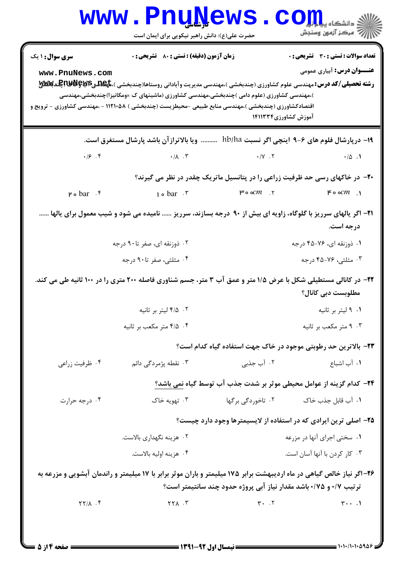|                                             | www.PnuNews<br>حضرت علی(ع): دانش راهبر نیکویی برای ایمان است                                                                                                                                                                                                                                                                                                                                  |                                                                                             | الاد دانشڪاء پيد <mark>م کور</mark><br>الا دانشڪاء پيد <mark>م</mark> کور         |
|---------------------------------------------|-----------------------------------------------------------------------------------------------------------------------------------------------------------------------------------------------------------------------------------------------------------------------------------------------------------------------------------------------------------------------------------------------|---------------------------------------------------------------------------------------------|-----------------------------------------------------------------------------------|
| <b>سری سوال : ۱ یک</b><br>www.PnuNews.com   | زمان آزمون (دقیقه) : تستی : 80 گشریحی : 0<br><b>رشته تحصیلی/کد درس:</b> مهندسی علوم کشاورزی (چندبخشی )،مهندسی مدیریت وآبادانی روستاها(چندبخشی )، <del>مهکاه</del> ییکاپکالایالپکاپکندباسی<br>)،مهندسی کشاورزی (علوم دامی )چندبخشی،مهندسی کشاورزی (ماشینهای ک ×ومکانیزا)چندبخشی،مهندسی<br>اقتصادکشاورزی (چندبخشی )،مهندسی منابع طبیعی -محیطزیست (چندبخشی ) ۱۱۲۱۰۵۸ - ،مهندسی کشاورزی - ترویج و | آموزش کشاورزی۱۴۱۱۳۳۴                                                                        | <b>تعداد سوالات : تستي : 30 ٪ تشريحي : 0</b><br><b>عنـــوان درس:</b> آبیاری عمومی |
|                                             | ۱۹- درپارشال فلوم های ۶-۹ اینچی اگر نسبت hb/ha     ویا بالاترازآن باشد پارشال مستغرق است.                                                                                                                                                                                                                                                                                                     |                                                                                             |                                                                                   |
|                                             |                                                                                                                                                                                                                                                                                                                                                                                               |                                                                                             |                                                                                   |
|                                             |                                                                                                                                                                                                                                                                                                                                                                                               | +۲- در خاکهای رسی حد ظرفیت زراعی را در پتانسیل ماتریک چقدر در نظر می گیرند؟                 |                                                                                   |
| $P \circ bar \cdot f$                       | $1 \circ bar \cdot r$                                                                                                                                                                                                                                                                                                                                                                         | $\mu$ o oc $m$ $\kappa$ is the contract of $\kappa$ or $\kappa$ is the contract of $\kappa$ |                                                                                   |
|                                             | <b>۲۱</b> - اگر یالهای سرریز با گلوگاه، زاویه ای بیش از ۹۰ درجه بسازند، سرریز  نامیده می شود و شیب معمول برای یالها                                                                                                                                                                                                                                                                           |                                                                                             | درجه است.                                                                         |
|                                             | ۰۲ ذوزنقه ای، صفر تا۹۰ درجه                                                                                                                                                                                                                                                                                                                                                                   |                                                                                             | ۰۱ ذوزنقه ای، ۷۶-۴۵ درجه                                                          |
|                                             | ۰۴ مثلثی، صفر تا۹۰ درجه                                                                                                                                                                                                                                                                                                                                                                       |                                                                                             | ۰۳ مثلثی، ۲۶-۴۵ درجه                                                              |
|                                             | ۲۲- در کانالی مستطیلی شکل با عرض ۱/۵ متر و عمق آب ۳ متر، جسم شناوری فاصله ۲۰۰ متری را در ۱۰۰ ثانیه طی می کند.                                                                                                                                                                                                                                                                                 |                                                                                             | مطلوبست دبی کانال؟                                                                |
|                                             | ٠٢ ١/٥ ليتر بر ثانيه                                                                                                                                                                                                                                                                                                                                                                          |                                                                                             | ۰۱ 1 ليتر بر ثانيه                                                                |
|                                             | ۰۴ هتر مکعب بر ثانیه                                                                                                                                                                                                                                                                                                                                                                          |                                                                                             | ۰۳ متر مکعب بر ثانیه                                                              |
|                                             |                                                                                                                                                                                                                                                                                                                                                                                               | ۲۳– بالاترین حد رطوبتی موجود در خاک جهت استفاده گیاه کدام است؟                              |                                                                                   |
| ۰۴ ظرفیت زراعی                              | ۰۳ نقطه پژمردگی دائم                                                                                                                                                                                                                                                                                                                                                                          | ۰۲ آب جذبی                                                                                  | ٠١. آب اشباع                                                                      |
|                                             |                                                                                                                                                                                                                                                                                                                                                                                               | ۲۴– کدام گزینه از عوامل محیطی موثر بر شدت جذب آب توسط گیاه نمی باشد؟                        |                                                                                   |
| ۰۴ درجه حرارت                               | ۰۳ تهویه خاک                                                                                                                                                                                                                                                                                                                                                                                  | ۰۲ تاخوردگی برگها                                                                           | ۰۱ آب قابل جذب خاک                                                                |
|                                             | ۲۵- اصلی ترین ایرادی که در استفاده از لایسیمترها وجود دارد چیست؟                                                                                                                                                                                                                                                                                                                              |                                                                                             |                                                                                   |
|                                             | ۰۲ هزینه نگهداری بالاست.                                                                                                                                                                                                                                                                                                                                                                      |                                                                                             | ۰۱ سختی اجرای آنها در مزرعه                                                       |
|                                             | ۰۴ هزينه اوليه بالاست.                                                                                                                                                                                                                                                                                                                                                                        |                                                                                             | ۰۳ کار کردن با آنها آسان است.                                                     |
|                                             | ۲۶-آگر نیاز خالص گیاهی در ماه اردیبهشت برابر ۱۷۵ میلیمتر و باران موثر برابر با ۱۷ میلیمتر و راندمان آبشویی و مزرعه به                                                                                                                                                                                                                                                                         | ترتیب ۰/۷ و ۰/۷۵ باشد مقدار نیاز آبی پروژه حدود چند سانتیمتر است؟                           |                                                                                   |
| $\uparrow \uparrow / \uparrow$ . $\uparrow$ | $\gamma \gamma \lambda$ .                                                                                                                                                                                                                                                                                                                                                                     | $Y - Y$                                                                                     | $\mathbf{r} \cdot \cdot \cdot \mathbf{1}$                                         |
|                                             |                                                                                                                                                                                                                                                                                                                                                                                               |                                                                                             |                                                                                   |